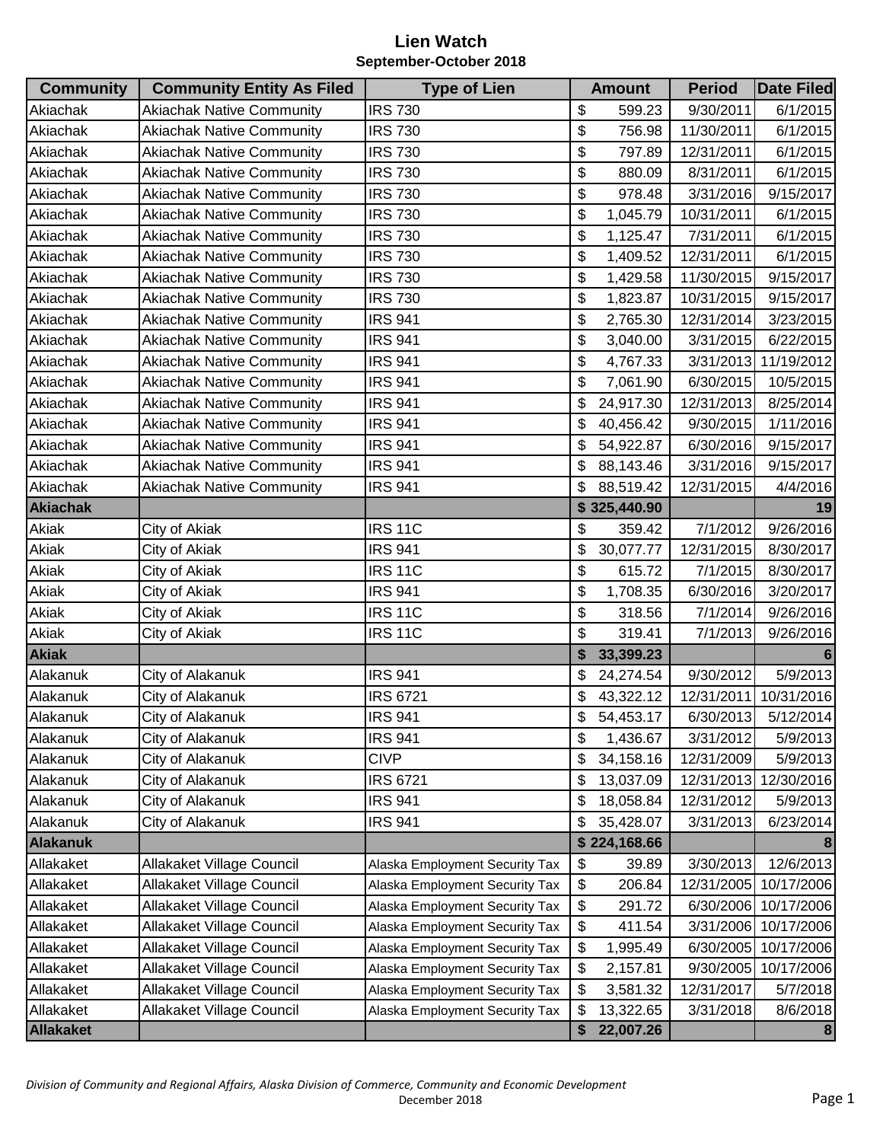| <b>Community</b> | <b>Community Entity As Filed</b> | <b>Type of Lien</b>            | <b>Amount</b>   | <b>Period</b> | <b>Date Filed</b>     |
|------------------|----------------------------------|--------------------------------|-----------------|---------------|-----------------------|
| Akiachak         | <b>Akiachak Native Community</b> | <b>IRS 730</b>                 | \$<br>599.23    | 9/30/2011     | 6/1/2015              |
| Akiachak         | <b>Akiachak Native Community</b> | <b>IRS 730</b>                 | \$<br>756.98    | 11/30/2011    | 6/1/2015              |
| Akiachak         | <b>Akiachak Native Community</b> | <b>IRS 730</b>                 | \$<br>797.89    | 12/31/2011    | 6/1/2015              |
| Akiachak         | <b>Akiachak Native Community</b> | <b>IRS 730</b>                 | \$<br>880.09    | 8/31/2011     | 6/1/2015              |
| Akiachak         | <b>Akiachak Native Community</b> | <b>IRS 730</b>                 | \$<br>978.48    | 3/31/2016     | 9/15/2017             |
| Akiachak         | <b>Akiachak Native Community</b> | <b>IRS 730</b>                 | \$<br>1,045.79  | 10/31/2011    | 6/1/2015              |
| Akiachak         | <b>Akiachak Native Community</b> | <b>IRS 730</b>                 | \$<br>1,125.47  | 7/31/2011     | 6/1/2015              |
| Akiachak         | <b>Akiachak Native Community</b> | <b>IRS 730</b>                 | \$<br>1,409.52  | 12/31/2011    | 6/1/2015              |
| Akiachak         | <b>Akiachak Native Community</b> | <b>IRS 730</b>                 | \$<br>1,429.58  | 11/30/2015    | 9/15/2017             |
| Akiachak         | <b>Akiachak Native Community</b> | <b>IRS 730</b>                 | \$<br>1,823.87  | 10/31/2015    | 9/15/2017             |
| Akiachak         | <b>Akiachak Native Community</b> | <b>IRS 941</b>                 | \$<br>2,765.30  | 12/31/2014    | 3/23/2015             |
| Akiachak         | <b>Akiachak Native Community</b> | <b>IRS 941</b>                 | \$<br>3,040.00  | 3/31/2015     | 6/22/2015             |
| Akiachak         | <b>Akiachak Native Community</b> | <b>IRS 941</b>                 | \$<br>4,767.33  | 3/31/2013     | 11/19/2012            |
| Akiachak         | <b>Akiachak Native Community</b> | <b>IRS 941</b>                 | \$<br>7,061.90  | 6/30/2015     | 10/5/2015             |
| Akiachak         | <b>Akiachak Native Community</b> | <b>IRS 941</b>                 | \$<br>24,917.30 | 12/31/2013    | 8/25/2014             |
| Akiachak         | <b>Akiachak Native Community</b> | <b>IRS 941</b>                 | \$<br>40,456.42 | 9/30/2015     | 1/11/2016             |
| Akiachak         | <b>Akiachak Native Community</b> | <b>IRS 941</b>                 | \$<br>54,922.87 | 6/30/2016     | 9/15/2017             |
| Akiachak         | <b>Akiachak Native Community</b> | <b>IRS 941</b>                 | \$<br>88,143.46 | 3/31/2016     | 9/15/2017             |
| Akiachak         | <b>Akiachak Native Community</b> | <b>IRS 941</b>                 | \$<br>88,519.42 | 12/31/2015    | 4/4/2016              |
| <b>Akiachak</b>  |                                  |                                | \$325,440.90    |               | 19                    |
| Akiak            | City of Akiak                    | <b>IRS 11C</b>                 | \$<br>359.42    | 7/1/2012      | 9/26/2016             |
| Akiak            | City of Akiak                    | <b>IRS 941</b>                 | \$<br>30,077.77 | 12/31/2015    | 8/30/2017             |
| Akiak            | City of Akiak                    | <b>IRS 11C</b>                 | \$<br>615.72    | 7/1/2015      | 8/30/2017             |
| Akiak            | City of Akiak                    | <b>IRS 941</b>                 | \$<br>1,708.35  | 6/30/2016     | 3/20/2017             |
| Akiak            | City of Akiak                    | <b>IRS 11C</b>                 | \$<br>318.56    | 7/1/2014      | 9/26/2016             |
| Akiak            | City of Akiak                    | <b>IRS 11C</b>                 | \$<br>319.41    | 7/1/2013      | 9/26/2016             |
| <b>Akiak</b>     |                                  |                                | \$<br>33,399.23 |               |                       |
| Alakanuk         | City of Alakanuk                 | <b>IRS 941</b>                 | \$<br>24,274.54 | 9/30/2012     | 5/9/2013              |
| Alakanuk         | City of Alakanuk                 | <b>IRS 6721</b>                | \$<br>43,322.12 |               | 12/31/2011 10/31/2016 |
| Alakanuk         | City of Alakanuk                 | <b>IRS 941</b>                 | \$<br>54,453.17 |               | 6/30/2013 5/12/2014   |
| Alakanuk         | City of Alakanuk                 | <b>IRS 941</b>                 | \$<br>1,436.67  | 3/31/2012     | 5/9/2013              |
| Alakanuk         | City of Alakanuk                 | <b>CIVP</b>                    | \$<br>34,158.16 | 12/31/2009    | 5/9/2013              |
| Alakanuk         | City of Alakanuk                 | <b>IRS 6721</b>                | \$<br>13,037.09 | 12/31/2013    | 12/30/2016            |
| Alakanuk         | City of Alakanuk                 | <b>IRS 941</b>                 | \$<br>18,058.84 | 12/31/2012    | 5/9/2013              |
| Alakanuk         | City of Alakanuk                 | <b>IRS 941</b>                 | \$<br>35,428.07 | 3/31/2013     | 6/23/2014             |
| <b>Alakanuk</b>  |                                  |                                | \$224,168.66    |               |                       |
| Allakaket        | Allakaket Village Council        | Alaska Employment Security Tax | \$<br>39.89     | 3/30/2013     | 12/6/2013             |
| Allakaket        | Allakaket Village Council        | Alaska Employment Security Tax | \$<br>206.84    | 12/31/2005    | 10/17/2006            |
| Allakaket        | Allakaket Village Council        | Alaska Employment Security Tax | \$<br>291.72    | 6/30/2006     | 10/17/2006            |
| Allakaket        | Allakaket Village Council        | Alaska Employment Security Tax | \$<br>411.54    | 3/31/2006     | 10/17/2006            |
| Allakaket        | Allakaket Village Council        | Alaska Employment Security Tax | \$<br>1,995.49  | 6/30/2005     | 10/17/2006            |
| Allakaket        | Allakaket Village Council        | Alaska Employment Security Tax | \$<br>2,157.81  | 9/30/2005     | 10/17/2006            |
| Allakaket        | Allakaket Village Council        | Alaska Employment Security Tax | \$<br>3,581.32  | 12/31/2017    | 5/7/2018              |
| Allakaket        | Allakaket Village Council        | Alaska Employment Security Tax | \$<br>13,322.65 | 3/31/2018     | 8/6/2018              |
| <b>Allakaket</b> |                                  |                                | \$<br>22,007.26 |               | 8                     |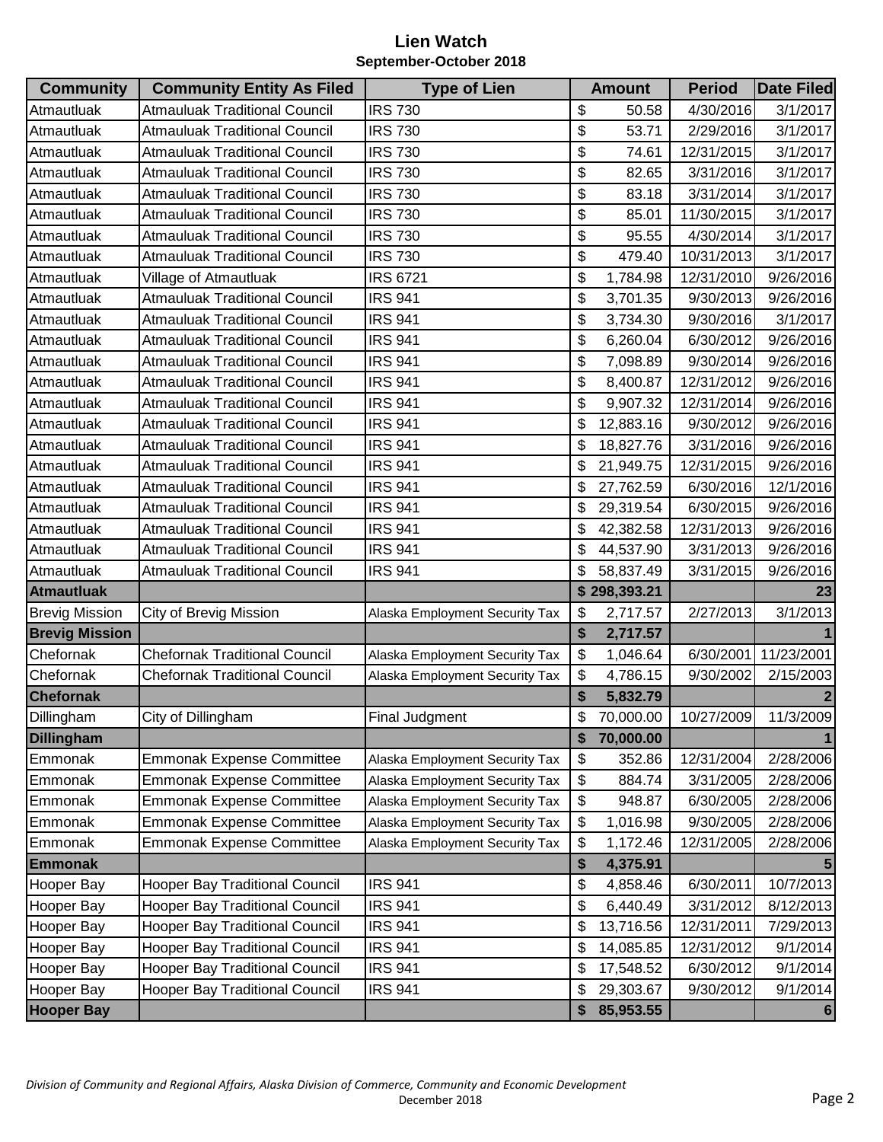| <b>Community</b>      | <b>Community Entity As Filed</b>      | <b>Type of Lien</b>            | <b>Amount</b>   | <b>Period</b> | <b>Date Filed</b> |
|-----------------------|---------------------------------------|--------------------------------|-----------------|---------------|-------------------|
| Atmautluak            | <b>Atmauluak Traditional Council</b>  | <b>IRS 730</b>                 | \$<br>50.58     | 4/30/2016     | 3/1/2017          |
| Atmautluak            | <b>Atmauluak Traditional Council</b>  | <b>IRS 730</b>                 | \$<br>53.71     | 2/29/2016     | 3/1/2017          |
| Atmautluak            | <b>Atmauluak Traditional Council</b>  | <b>IRS 730</b>                 | \$<br>74.61     | 12/31/2015    | 3/1/2017          |
| Atmautluak            | <b>Atmauluak Traditional Council</b>  | <b>IRS 730</b>                 | \$<br>82.65     | 3/31/2016     | 3/1/2017          |
| Atmautluak            | <b>Atmauluak Traditional Council</b>  | <b>IRS 730</b>                 | \$<br>83.18     | 3/31/2014     | 3/1/2017          |
| Atmautluak            | <b>Atmauluak Traditional Council</b>  | <b>IRS 730</b>                 | \$<br>85.01     | 11/30/2015    | 3/1/2017          |
| Atmautluak            | <b>Atmauluak Traditional Council</b>  | <b>IRS 730</b>                 | \$<br>95.55     | 4/30/2014     | 3/1/2017          |
| Atmautluak            | <b>Atmauluak Traditional Council</b>  | <b>IRS 730</b>                 | \$<br>479.40    | 10/31/2013    | 3/1/2017          |
| Atmautluak            | Village of Atmautluak                 | <b>IRS 6721</b>                | \$<br>1,784.98  | 12/31/2010    | 9/26/2016         |
| Atmautluak            | <b>Atmauluak Traditional Council</b>  | <b>IRS 941</b>                 | \$<br>3,701.35  | 9/30/2013     | 9/26/2016         |
| Atmautluak            | <b>Atmauluak Traditional Council</b>  | <b>IRS 941</b>                 | \$<br>3,734.30  | 9/30/2016     | 3/1/2017          |
| Atmautluak            | <b>Atmauluak Traditional Council</b>  | <b>IRS 941</b>                 | \$<br>6,260.04  | 6/30/2012     | 9/26/2016         |
| Atmautluak            | <b>Atmauluak Traditional Council</b>  | <b>IRS 941</b>                 | \$<br>7,098.89  | 9/30/2014     | 9/26/2016         |
| Atmautluak            | <b>Atmauluak Traditional Council</b>  | <b>IRS 941</b>                 | \$<br>8,400.87  | 12/31/2012    | 9/26/2016         |
| Atmautluak            | <b>Atmauluak Traditional Council</b>  | <b>IRS 941</b>                 | \$<br>9,907.32  | 12/31/2014    | 9/26/2016         |
| Atmautluak            | <b>Atmauluak Traditional Council</b>  | <b>IRS 941</b>                 | \$<br>12,883.16 | 9/30/2012     | 9/26/2016         |
| Atmautluak            | <b>Atmauluak Traditional Council</b>  | <b>IRS 941</b>                 | \$<br>18,827.76 | 3/31/2016     | 9/26/2016         |
| Atmautluak            | <b>Atmauluak Traditional Council</b>  | <b>IRS 941</b>                 | \$<br>21,949.75 | 12/31/2015    | 9/26/2016         |
| Atmautluak            | <b>Atmauluak Traditional Council</b>  | <b>IRS 941</b>                 | \$<br>27,762.59 | 6/30/2016     | 12/1/2016         |
| Atmautluak            | <b>Atmauluak Traditional Council</b>  | <b>IRS 941</b>                 | \$<br>29,319.54 | 6/30/2015     | 9/26/2016         |
| Atmautluak            | <b>Atmauluak Traditional Council</b>  | <b>IRS 941</b>                 | \$<br>42,382.58 | 12/31/2013    | 9/26/2016         |
| Atmautluak            | <b>Atmauluak Traditional Council</b>  | <b>IRS 941</b>                 | \$<br>44,537.90 | 3/31/2013     | 9/26/2016         |
| Atmautluak            | <b>Atmauluak Traditional Council</b>  | <b>IRS 941</b>                 | \$<br>58,837.49 | 3/31/2015     | 9/26/2016         |
| <b>Atmautluak</b>     |                                       |                                | \$298,393.21    |               | 23                |
| <b>Brevig Mission</b> | City of Brevig Mission                | Alaska Employment Security Tax | \$<br>2,717.57  | 2/27/2013     | 3/1/2013          |
| <b>Brevig Mission</b> |                                       |                                | \$<br>2,717.57  |               |                   |
| Chefornak             | <b>Chefornak Traditional Council</b>  | Alaska Employment Security Tax | \$<br>1,046.64  | 6/30/2001     | 11/23/2001        |
| Chefornak             | <b>Chefornak Traditional Council</b>  | Alaska Employment Security Tax | \$<br>4,786.15  | 9/30/2002     | 2/15/2003         |
| <b>Chefornak</b>      |                                       |                                | \$<br>5,832.79  |               |                   |
| Dillingham            | City of Dillingham                    | <b>Final Judgment</b>          | \$<br>70,000.00 | 10/27/2009    | 11/3/2009         |
| <b>Dillingham</b>     |                                       |                                | \$<br>70,000.00 |               |                   |
| Emmonak               | <b>Emmonak Expense Committee</b>      | Alaska Employment Security Tax | \$<br>352.86    | 12/31/2004    | 2/28/2006         |
| Emmonak               | <b>Emmonak Expense Committee</b>      | Alaska Employment Security Tax | \$<br>884.74    | 3/31/2005     | 2/28/2006         |
| Emmonak               | <b>Emmonak Expense Committee</b>      | Alaska Employment Security Tax | \$<br>948.87    | 6/30/2005     | 2/28/2006         |
| Emmonak               | <b>Emmonak Expense Committee</b>      | Alaska Employment Security Tax | \$<br>1,016.98  | 9/30/2005     | 2/28/2006         |
| Emmonak               | <b>Emmonak Expense Committee</b>      | Alaska Employment Security Tax | \$<br>1,172.46  | 12/31/2005    | 2/28/2006         |
| <b>Emmonak</b>        |                                       |                                | \$<br>4,375.91  |               |                   |
| Hooper Bay            | <b>Hooper Bay Traditional Council</b> | <b>IRS 941</b>                 | \$<br>4,858.46  | 6/30/2011     | 10/7/2013         |
| Hooper Bay            | <b>Hooper Bay Traditional Council</b> | <b>IRS 941</b>                 | \$<br>6,440.49  | 3/31/2012     | 8/12/2013         |
| Hooper Bay            | <b>Hooper Bay Traditional Council</b> | <b>IRS 941</b>                 | \$<br>13,716.56 | 12/31/2011    | 7/29/2013         |
| Hooper Bay            | <b>Hooper Bay Traditional Council</b> | <b>IRS 941</b>                 | \$<br>14,085.85 | 12/31/2012    | 9/1/2014          |
| <b>Hooper Bay</b>     | <b>Hooper Bay Traditional Council</b> | <b>IRS 941</b>                 | \$<br>17,548.52 | 6/30/2012     | 9/1/2014          |
| <b>Hooper Bay</b>     | <b>Hooper Bay Traditional Council</b> | <b>IRS 941</b>                 | \$<br>29,303.67 | 9/30/2012     | 9/1/2014          |
| <b>Hooper Bay</b>     |                                       |                                | \$<br>85,953.55 |               |                   |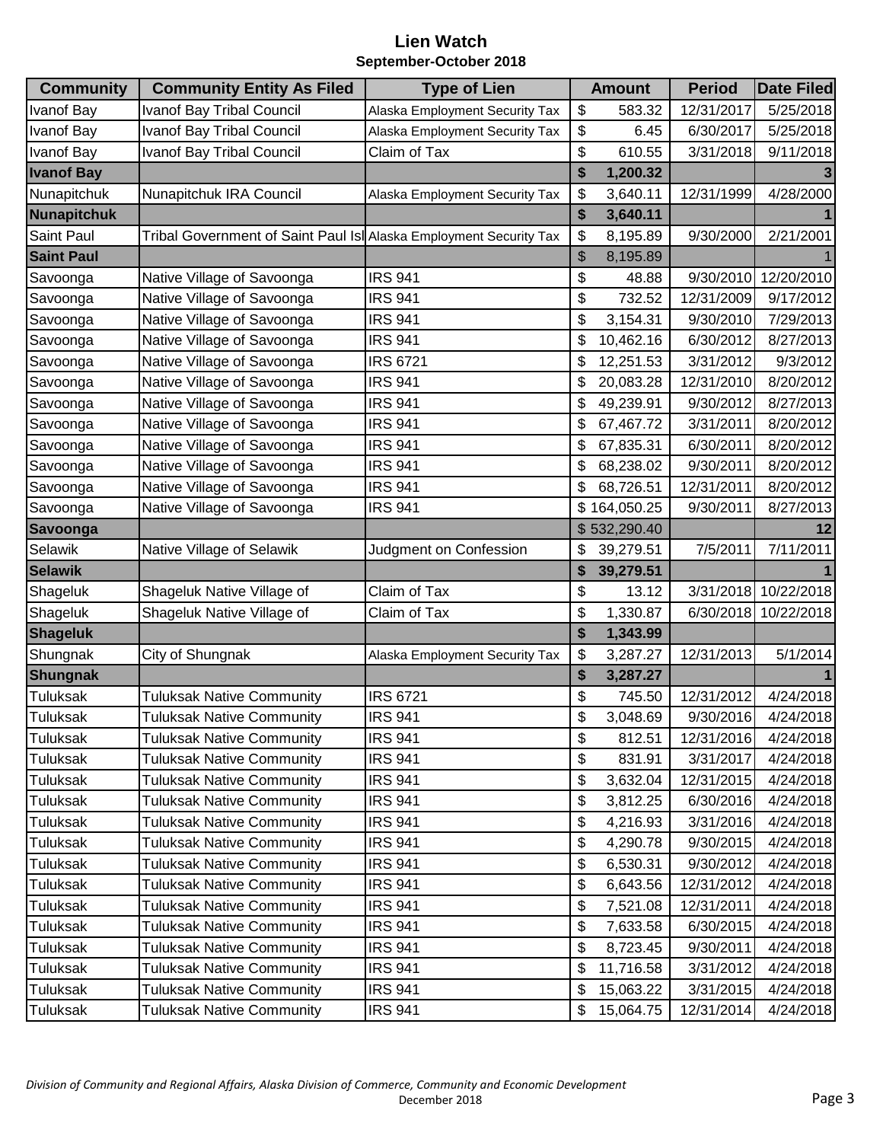| <b>Community</b>  | <b>Community Entity As Filed</b>                                   | <b>Type of Lien</b>            | <b>Amount</b>   | <b>Period</b> | <b>Date Filed</b> |
|-------------------|--------------------------------------------------------------------|--------------------------------|-----------------|---------------|-------------------|
| Ivanof Bay        | <b>Ivanof Bay Tribal Council</b>                                   | Alaska Employment Security Tax | \$<br>583.32    | 12/31/2017    | 5/25/2018         |
| <b>Ivanof Bay</b> | Ivanof Bay Tribal Council                                          | Alaska Employment Security Tax | \$<br>6.45      | 6/30/2017     | 5/25/2018         |
| <b>Ivanof Bay</b> | Ivanof Bay Tribal Council                                          | Claim of Tax                   | \$<br>610.55    | 3/31/2018     | 9/11/2018         |
| <b>Ivanof Bay</b> |                                                                    |                                | \$<br>1,200.32  |               |                   |
| Nunapitchuk       | Nunapitchuk IRA Council                                            | Alaska Employment Security Tax | \$<br>3,640.11  | 12/31/1999    | 4/28/2000         |
| Nunapitchuk       |                                                                    |                                | \$<br>3,640.11  |               |                   |
| Saint Paul        | Tribal Government of Saint Paul Isl Alaska Employment Security Tax |                                | \$<br>8,195.89  | 9/30/2000     | 2/21/2001         |
| <b>Saint Paul</b> |                                                                    |                                | \$<br>8,195.89  |               |                   |
| Savoonga          | Native Village of Savoonga                                         | <b>IRS 941</b>                 | \$<br>48.88     | 9/30/2010     | 12/20/2010        |
| Savoonga          | Native Village of Savoonga                                         | <b>IRS 941</b>                 | \$<br>732.52    | 12/31/2009    | 9/17/2012         |
| Savoonga          | Native Village of Savoonga                                         | <b>IRS 941</b>                 | \$<br>3,154.31  | 9/30/2010     | 7/29/2013         |
| Savoonga          | Native Village of Savoonga                                         | <b>IRS 941</b>                 | \$<br>10,462.16 | 6/30/2012     | 8/27/2013         |
| Savoonga          | Native Village of Savoonga                                         | <b>IRS 6721</b>                | \$<br>12,251.53 | 3/31/2012     | 9/3/2012          |
| Savoonga          | Native Village of Savoonga                                         | <b>IRS 941</b>                 | \$<br>20,083.28 | 12/31/2010    | 8/20/2012         |
| Savoonga          | Native Village of Savoonga                                         | <b>IRS 941</b>                 | \$<br>49,239.91 | 9/30/2012     | 8/27/2013         |
| Savoonga          | Native Village of Savoonga                                         | <b>IRS 941</b>                 | \$<br>67,467.72 | 3/31/2011     | 8/20/2012         |
| Savoonga          | Native Village of Savoonga                                         | <b>IRS 941</b>                 | \$<br>67,835.31 | 6/30/2011     | 8/20/2012         |
| Savoonga          | Native Village of Savoonga                                         | <b>IRS 941</b>                 | \$<br>68,238.02 | 9/30/2011     | 8/20/2012         |
| Savoonga          | Native Village of Savoonga                                         | <b>IRS 941</b>                 | \$<br>68,726.51 | 12/31/2011    | 8/20/2012         |
| Savoonga          | Native Village of Savoonga                                         | <b>IRS 941</b>                 | \$164,050.25    | 9/30/2011     | 8/27/2013         |
| <b>Savoonga</b>   |                                                                    |                                | \$532,290.40    |               | 12                |
| Selawik           | Native Village of Selawik                                          | Judgment on Confession         | \$<br>39,279.51 | 7/5/2011      | 7/11/2011         |
| <b>Selawik</b>    |                                                                    |                                | \$<br>39,279.51 |               |                   |
| Shageluk          | Shageluk Native Village of                                         | Claim of Tax                   | \$<br>13.12     | 3/31/2018     | 10/22/2018        |
| Shageluk          | Shageluk Native Village of                                         | Claim of Tax                   | \$<br>1,330.87  | 6/30/2018     | 10/22/2018        |
| <b>Shageluk</b>   |                                                                    |                                | \$<br>1,343.99  |               |                   |
| Shungnak          | City of Shungnak                                                   | Alaska Employment Security Tax | \$<br>3,287.27  | 12/31/2013    | 5/1/2014          |
| <b>Shungnak</b>   |                                                                    |                                | \$<br>3,287.27  |               |                   |
| <b>Tuluksak</b>   | <b>Tuluksak Native Community</b>                                   | <b>IRS 6721</b>                | \$<br>745.50    | 12/31/2012    | 4/24/2018         |
| Tuluksak          | <b>Tuluksak Native Community</b>                                   | <b>IRS 941</b>                 | \$<br>3,048.69  | 9/30/2016     | 4/24/2018         |
| Tuluksak          | <b>Tuluksak Native Community</b>                                   | <b>IRS 941</b>                 | \$<br>812.51    | 12/31/2016    | 4/24/2018         |
| Tuluksak          | <b>Tuluksak Native Community</b>                                   | <b>IRS 941</b>                 | \$<br>831.91    | 3/31/2017     | 4/24/2018         |
| Tuluksak          | <b>Tuluksak Native Community</b>                                   | <b>IRS 941</b>                 | \$<br>3,632.04  | 12/31/2015    | 4/24/2018         |
| <b>Tuluksak</b>   | <b>Tuluksak Native Community</b>                                   | <b>IRS 941</b>                 | \$<br>3,812.25  | 6/30/2016     | 4/24/2018         |
| Tuluksak          | <b>Tuluksak Native Community</b>                                   | <b>IRS 941</b>                 | \$<br>4,216.93  | 3/31/2016     | 4/24/2018         |
| Tuluksak          | <b>Tuluksak Native Community</b>                                   | <b>IRS 941</b>                 | \$<br>4,290.78  | 9/30/2015     | 4/24/2018         |
| Tuluksak          | <b>Tuluksak Native Community</b>                                   | <b>IRS 941</b>                 | \$<br>6,530.31  | 9/30/2012     | 4/24/2018         |
| <b>Tuluksak</b>   | <b>Tuluksak Native Community</b>                                   | <b>IRS 941</b>                 | \$<br>6,643.56  | 12/31/2012    | 4/24/2018         |
| <b>Tuluksak</b>   | <b>Tuluksak Native Community</b>                                   | <b>IRS 941</b>                 | \$<br>7,521.08  | 12/31/2011    | 4/24/2018         |
| Tuluksak          | <b>Tuluksak Native Community</b>                                   | <b>IRS 941</b>                 | \$<br>7,633.58  | 6/30/2015     | 4/24/2018         |
| <b>Tuluksak</b>   | <b>Tuluksak Native Community</b>                                   | <b>IRS 941</b>                 | \$<br>8,723.45  | 9/30/2011     | 4/24/2018         |
| Tuluksak          | <b>Tuluksak Native Community</b>                                   | <b>IRS 941</b>                 | \$<br>11,716.58 | 3/31/2012     | 4/24/2018         |
| Tuluksak          | <b>Tuluksak Native Community</b>                                   | <b>IRS 941</b>                 | \$<br>15,063.22 | 3/31/2015     | 4/24/2018         |
| Tuluksak          | <b>Tuluksak Native Community</b>                                   | <b>IRS 941</b>                 | \$<br>15,064.75 | 12/31/2014    | 4/24/2018         |